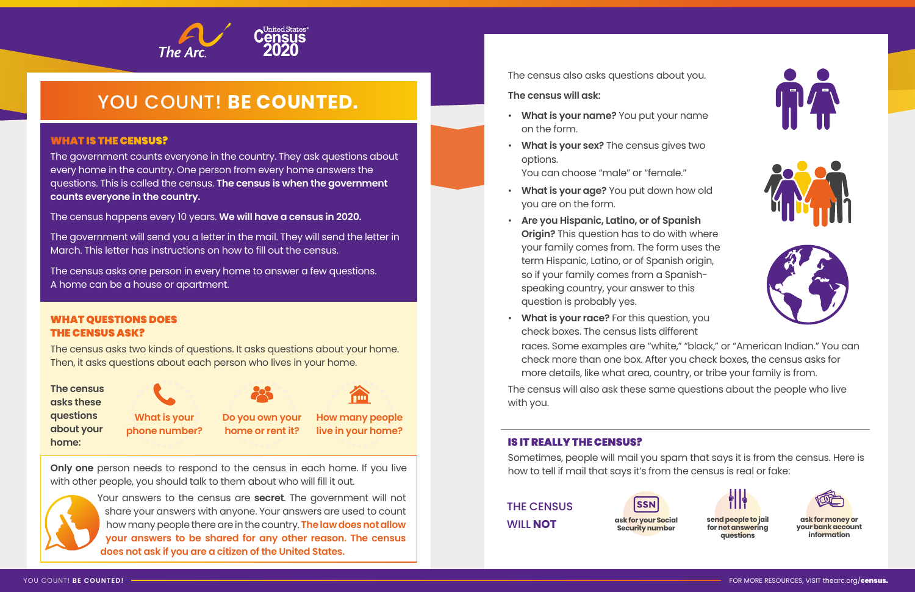### WHAT IS THE CENSUS?

The government counts everyone in the country. They ask questions about every home in the country. One person from every home answers the questions. This is called the census. **The census is when the government counts everyone in the country.**

The census happens every 10 years. **We will have a census in 2020.**

The government will send you a letter in the mail. They will send the letter in March. This letter has instructions on how to fill out the census.

The census asks one person in every home to answer a few questions. A home can be a house or apartment.

# WHAT QUESTIONS DOES THE CENSUS ASK?

The census asks two kinds of questions. It asks questions about your home. Then, it asks questions about each person who lives in your home.

> **Do you own your home or rent it?**

**How many people live in your home?**

**What is your phone number?**









# YOU COUNT! **BE COUNTED.**

The census also asks questions about you.

**The census will ask:** 

**duestions** W **about your ph**o<br>. **The census asks these home:**



- **What is your name?** You put your name on the form.
- **What is your sex?** The census gives two options. You can choose "male" or "female."
- **What is your age?** You put down how old you are on the form.
- **Are you Hispanic, Latino, or of Spanish Origin?** This question has to do with where your family comes from. The form uses the term Hispanic, Latino, or of Spanish origin, so if your family comes from a Spanishspeaking country, your answer to this question is probably yes.
- **What is your race?** For this question, you check boxes. The census lists different more details, like what area, country, or tribe your family is from.

races. Some examples are "white," "black," or "American Indian." You can check more than one box. After you check boxes, the census asks for

The census will also ask these same questions about the people who live with you.

**Only one** person needs to respond to the census in each home. If you live with other people, you should talk to them about who will fill it out.



Your answers to the census are **secret**. The government will not share your answers with anyone. Your answers are used to count how many people there are in the country. **The law does not allow your answers to be shared for any other reason. The census does not ask if you are a citizen of the United States.**

# IS IT REALLY THE CENSUS?

Sometimes, people will mail you spam that says it is from the census. Here is how to tell if mail that says it's from the census is real or fake:



**Security number**

**ask for money or your bank account information**



**send people to jail for not answering questions**



THE CENSUS WILL **NOT**